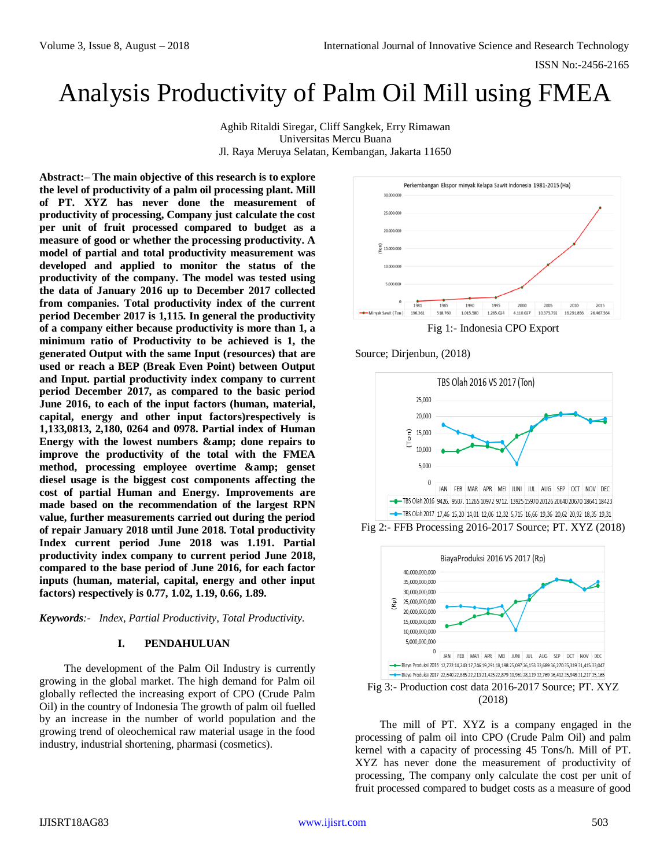# Analysis Productivity of Palm Oil Mill using FMEA

Aghib Ritaldi Siregar, Cliff Sangkek, Erry Rimawan Universitas Mercu Buana Jl. Raya Meruya Selatan, Kembangan, Jakarta 11650

**Abstract:– The main objective of this research is to explore the level of productivity of a palm oil processing plant. Mill of PT. XYZ has never done the measurement of productivity of processing, Company just calculate the cost per unit of fruit processed compared to budget as a measure of good or whether the processing productivity. A model of partial and total productivity measurement was developed and applied to monitor the status of the productivity of the company. The model was tested using the data of January 2016 up to December 2017 collected from companies. Total productivity index of the current period December 2017 is 1,115. In general the productivity of a company either because productivity is more than 1, a minimum ratio of Productivity to be achieved is 1, the generated Output with the same Input (resources) that are used or reach a BEP (Break Even Point) between Output and Input. partial productivity index company to current period December 2017, as compared to the basic period June 2016, to each of the input factors (human, material, capital, energy and other input factors)respectively is 1,133,0813, 2,180, 0264 and 0978. Partial index of Human**  Energy with the lowest numbers & amp; done repairs to **improve the productivity of the total with the FMEA**  method, processing employee overtime  $\&$ amp; genset **diesel usage is the biggest cost components affecting the cost of partial Human and Energy. Improvements are made based on the recommendation of the largest RPN value, further measurements carried out during the period of repair January 2018 until June 2018. Total productivity Index current period June 2018 was 1.191. Partial productivity index company to current period June 2018, compared to the base period of June 2016, for each factor inputs (human, material, capital, energy and other input factors) respectively is 0.77, 1.02, 1.19, 0.66, 1.89.**

*Keywords:- Index, Partial Productivity, Total Productivity.*

# **I. PENDAHULUAN**

The development of the Palm Oil Industry is currently growing in the global market. The high demand for Palm oil globally reflected the increasing export of CPO (Crude Palm Oil) in the country of Indonesia The growth of palm oil fuelled by an increase in the number of world population and the growing trend of oleochemical raw material usage in the food industry, industrial shortening, pharmasi (cosmetics).



Fig 1:- Indonesia CPO Export

# Source; Dirjenbun, (2018)



Fig 2:- FFB Processing 2016-2017 Source; PT. XYZ (2018)



Fig 3:- Production cost data 2016-2017 Source; PT. XYZ (2018)

The mill of PT. XYZ is a company engaged in the processing of palm oil into CPO (Crude Palm Oil) and palm kernel with a capacity of processing 45 Tons/h. Mill of PT. XYZ has never done the measurement of productivity of processing, The company only calculate the cost per unit of fruit processed compared to budget costs as a measure of good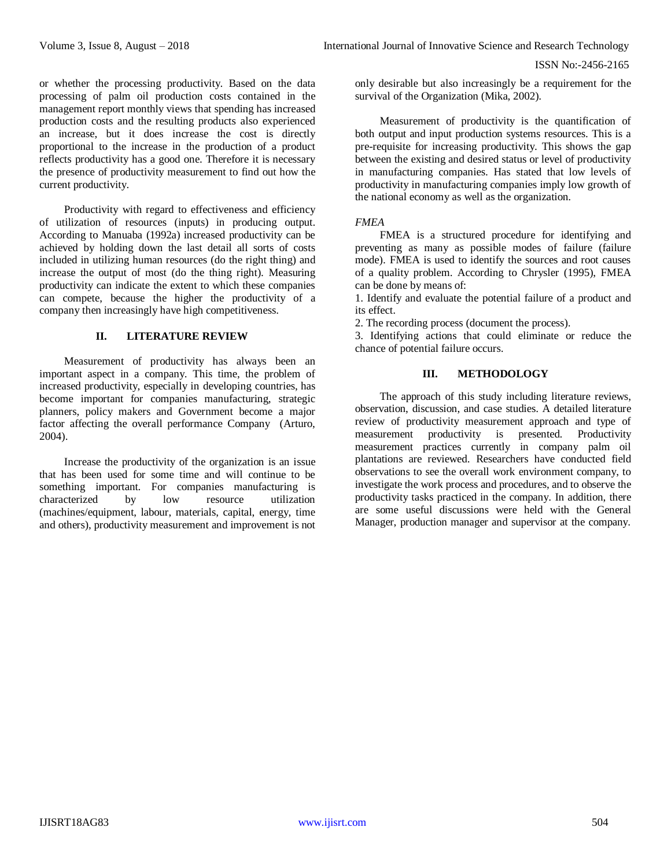or whether the processing productivity. Based on the data processing of palm oil production costs contained in the management report monthly views that spending has increased production costs and the resulting products also experienced an increase, but it does increase the cost is directly proportional to the increase in the production of a product reflects productivity has a good one. Therefore it is necessary the presence of productivity measurement to find out how the current productivity.

Productivity with regard to effectiveness and efficiency of utilization of resources (inputs) in producing output. According to Manuaba (1992a) increased productivity can be achieved by holding down the last detail all sorts of costs included in utilizing human resources (do the right thing) and increase the output of most (do the thing right). Measuring productivity can indicate the extent to which these companies can compete, because the higher the productivity of a company then increasingly have high competitiveness.

# **II. LITERATURE REVIEW**

Measurement of productivity has always been an important aspect in a company. This time, the problem of increased productivity, especially in developing countries, has become important for companies manufacturing, strategic planners, policy makers and Government become a major factor affecting the overall performance Company (Arturo, 2004).

Increase the productivity of the organization is an issue that has been used for some time and will continue to be something important. For companies manufacturing is characterized by low resource utilization (machines/equipment, labour, materials, capital, energy, time and others), productivity measurement and improvement is not only desirable but also increasingly be a requirement for the survival of the Organization (Mika, 2002).

Measurement of productivity is the quantification of both output and input production systems resources. This is a pre-requisite for increasing productivity. This shows the gap between the existing and desired status or level of productivity in manufacturing companies. Has stated that low levels of productivity in manufacturing companies imply low growth of the national economy as well as the organization.

# *FMEA*

FMEA is a structured procedure for identifying and preventing as many as possible modes of failure (failure mode). FMEA is used to identify the sources and root causes of a quality problem. According to Chrysler (1995), FMEA can be done by means of:

1. Identify and evaluate the potential failure of a product and its effect.

2. The recording process (document the process).

3. Identifying actions that could eliminate or reduce the chance of potential failure occurs.

# **III. METHODOLOGY**

The approach of this study including literature reviews, observation, discussion, and case studies. A detailed literature review of productivity measurement approach and type of measurement productivity is presented. Productivity measurement practices currently in company palm oil plantations are reviewed. Researchers have conducted field observations to see the overall work environment company, to investigate the work process and procedures, and to observe the productivity tasks practiced in the company. In addition, there are some useful discussions were held with the General Manager, production manager and supervisor at the company.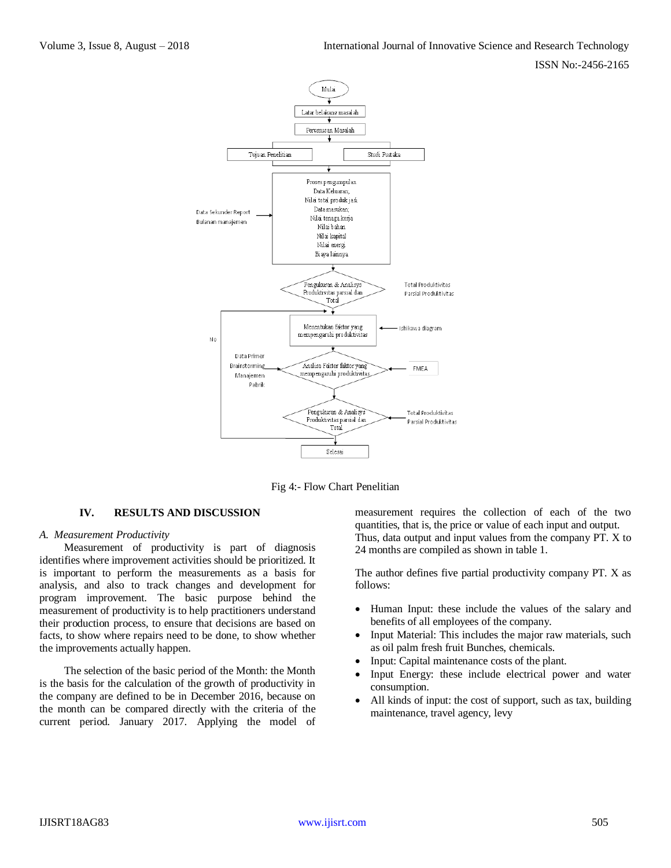

Fig 4:- Flow Chart Penelitian

# **IV. RESULTS AND DISCUSSION**

#### *A. Measurement Productivity*

Measurement of productivity is part of diagnosis identifies where improvement activities should be prioritized. It is important to perform the measurements as a basis for analysis, and also to track changes and development for program improvement. The basic purpose behind the measurement of productivity is to help practitioners understand their production process, to ensure that decisions are based on facts, to show where repairs need to be done, to show whether the improvements actually happen.

The selection of the basic period of the Month: the Month is the basis for the calculation of the growth of productivity in the company are defined to be in December 2016, because on the month can be compared directly with the criteria of the current period. January 2017. Applying the model of measurement requires the collection of each of the two quantities, that is, the price or value of each input and output. Thus, data output and input values from the company PT. X to 24 months are compiled as shown in table 1.

The author defines five partial productivity company PT. X as follows:

- Human Input: these include the values of the salary and benefits of all employees of the company.
- Input Material: This includes the major raw materials, such as oil palm fresh fruit Bunches, chemicals.
- Input: Capital maintenance costs of the plant.
- Input Energy: these include electrical power and water consumption.
- All kinds of input: the cost of support, such as tax, building maintenance, travel agency, levy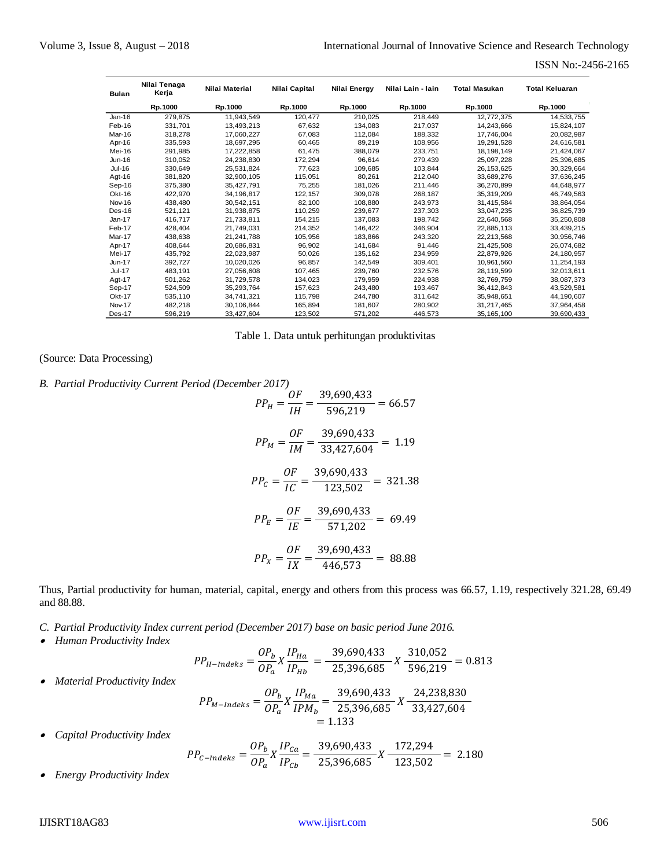| <b>Bulan</b>  | Nilai Tenaga<br>Kerja | Nilai Material | Nilai Capital | Nilai Energy | Nilai Lain - Iain | <b>Total Masukan</b> | <b>Total Keluaran</b> |
|---------------|-----------------------|----------------|---------------|--------------|-------------------|----------------------|-----------------------|
|               | Rp.1000               | Rp.1000        | Rp.1000       | Rp.1000      | Rp.1000           | Rp.1000              | Rp.1000               |
| $Jan-16$      | 279,875               | 11,943,549     | 120,477       | 210,025      | 218,449           | 12,772,375           | 14,533,755            |
| Feb-16        | 331.701               | 13,493,213     | 67,632        | 134.083      | 217.037           | 14.243.666           | 15,824,107            |
| Mar-16        | 318,278               | 17,060,227     | 67,083        | 112,084      | 188.332           | 17.746.004           | 20,082,987            |
| Apr-16        | 335,593               | 18,697,295     | 60,465        | 89.219       | 108.956           | 19,291,528           | 24,616,581            |
| Mei-16        | 291.985               | 17.222.858     | 61.475        | 388.079      | 233.751           | 18.198.149           | 21,424,067            |
| $Jun-16$      | 310.052               | 24.238.830     | 172.294       | 96.614       | 279.439           | 25.097.228           | 25.396.685            |
| Jul-16        | 330.649               | 25.531.824     | 77.623        | 109.685      | 103.844           | 26.153.625           | 30.329.664            |
| Agt- $16$     | 381,820               | 32,900,105     | 115,051       | 80,261       | 212,040           | 33,689,276           | 37,636,245            |
| Sep-16        | 375,380               | 35,427,791     | 75,255        | 181,026      | 211,446           | 36,270,899           | 44,648,977            |
| Okt-16        | 422.970               | 34,196,817     | 122.157       | 309,078      | 268,187           | 35,319,209           | 46,749,563            |
| Nov-16        | 438.480               | 30.542.151     | 82.100        | 108.880      | 243.973           | 31.415.584           | 38,864,054            |
| Des-16        | 521,121               | 31.938.875     | 110.259       | 239.677      | 237.303           | 33.047.235           | 36.825.739            |
| $Jan-17$      | 416.717               | 21,733,811     | 154,215       | 137,083      | 198.742           | 22,640,568           | 35,250,808            |
| Feb-17        | 428.404               | 21.749.031     | 214.352       | 146.422      | 346.904           | 22.885.113           | 33,439,215            |
| Mar-17        | 438,638               | 21,241,788     | 105,956       | 183,866      | 243.320           | 22,213,568           | 30,956,746            |
| Apr-17        | 408,644               | 20.686.831     | 96.902        | 141.684      | 91.446            | 21,425,508           | 26,074,682            |
| Mei-17        | 435,792               | 22,023,987     | 50,026        | 135,162      | 234,959           | 22,879,926           | 24,180,957            |
| $Jun-17$      | 392,727               | 10.020.026     | 96.857        | 142.549      | 309.401           | 10.961.560           | 11,254,193            |
| <b>Jul-17</b> | 483.191               | 27.056.608     | 107,465       | 239.760      | 232.576           | 28,119,599           | 32,013,611            |
| Agt-17        | 501.262               | 31.729.578     | 134.023       | 179.959      | 224.938           | 32.769.759           | 38.087.373            |
| Sep-17        | 524,509               | 35,293,764     | 157,623       | 243,480      | 193.467           | 36.412.843           | 43,529,581            |
| <b>Okt-17</b> | 535,110               | 34,741,321     | 115,798       | 244,780      | 311,642           | 35,948,651           | 44,190,607            |
| Nov-17        | 482,218               | 30,106,844     | 165,894       | 181.607      | 280,902           | 31,217,465           | 37,964,458            |
| Des-17        | 596,219               | 33,427,604     | 123,502       | 571,202      | 446,573           | 35, 165, 100         | 39,690,433            |

Table 1. Data untuk perhitungan produktivitas

(Source: Data Processing)

*B. Partial Productivity Current Period (December 2017)*

$$
PP_{H} = \frac{OF}{IH} = \frac{39,690,433}{596,219} = 66.57
$$
  
\n
$$
PP_{M} = \frac{OF}{IM} = \frac{39,690,433}{33,427,604} = 1.19
$$
  
\n
$$
PP_{C} = \frac{OF}{IC} = \frac{39,690,433}{123,502} = 321.38
$$
  
\n
$$
PP_{E} = \frac{OF}{IE} = \frac{39,690,433}{571,202} = 69.49
$$
  
\n
$$
PP_{X} = \frac{OF}{IX} = \frac{39,690,433}{446,573} = 88.88
$$

Thus, Partial productivity for human, material, capital, energy and others from this process was 66.57, 1.19, respectively 321.28, 69.49 and 88.88.

*C. Partial Productivity Index current period (December 2017) base on basic period June 2016.*

*Human Productivity Index*

*Material Productivity Index*

$$
PP_{H-Index} = \frac{OP_b}{OP_a} X \frac{IP_{Ha}}{IP_{Hb}} = \frac{39,690,433}{25,396,685} X \frac{310,052}{596,219} = 0.813
$$
  
OP<sub>b v</sub> IP<sub>Ma</sub> = 39,690,433 24,238,830

$$
PP_{M-Indeks} = \frac{3 - b}{OP_a} X \frac{1 - ma}{IPM_b} = \frac{3 - 5}{25,396,685} X \frac{3}{33,427,604}
$$
  
= 1.133

 $\bullet$ *Capital Productivity Index*

$$
PP_{C-Index} = \frac{OP_b}{OP_a} X \frac{IP_{Ca}}{IP_{Cb}} = \frac{39,690,433}{25,396,685} X \frac{172,294}{123,502} = 2.180
$$

 $\bullet$ *Energy Productivity Index*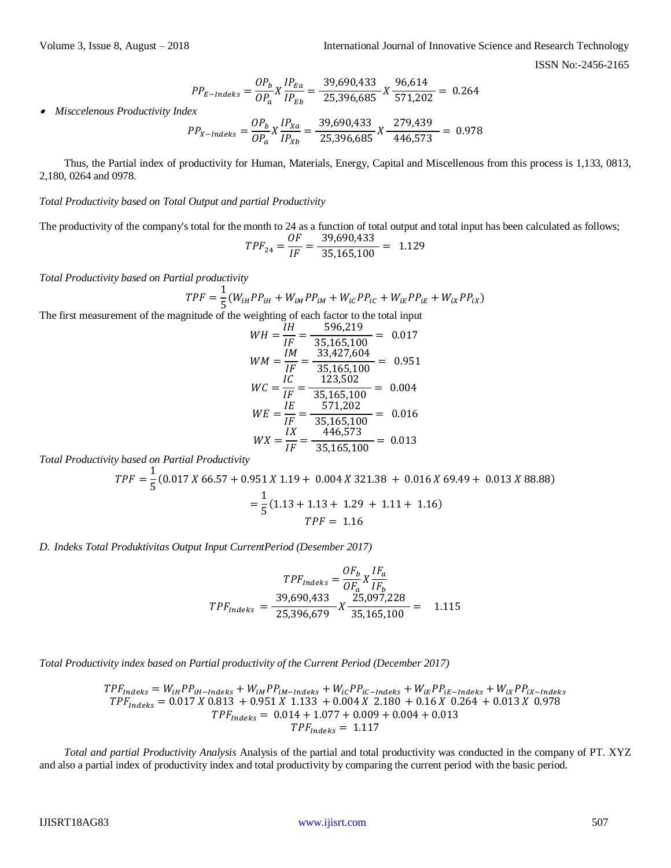$$
PP_{E-Index} = \frac{OP_b}{OP_a} X \frac{IP_{Ea}}{IP_{Eb}} = \frac{39,690,433}{25,396,685} X \frac{96,614}{571,202} = 0.264
$$

 $\bullet$ *Misccelenous Productivity Index*

$$
PP_{X-Indeks} = \frac{OP_b}{OP_a} X \frac{IP_{Xa}}{IP_{Xb}} = \frac{39,690,433}{25,396,685} X \frac{279,439}{446,573} = 0.978
$$

Thus, the Partial index of productivity for Human, Materials, Energy, Capital and Miscellenous from this process is 1,133, 0813, 2,180, 0264 and 0978.

*Total Productivity based on Total Output and partial Productivity*

The productivity of the company's total for the month to 24 as a function of total output and total input has been calculated as follows;

$$
TPF_{24} = \frac{OF}{IF} = \frac{39,690,433}{35,165,100} = 1.129
$$

*Total Productivity based on Partial productivity*

$$
TPF = \frac{1}{5}(W_{iH}PP_{iH} + W_{iM}PP_{iM} + W_{iC}PP_{iC} + W_{iE}PP_{iE} + W_{iX}PP_{iX})
$$

The first measurement of the magnitude of the weighting of each factor to the total input

$$
WH = \frac{IH}{IF} = \frac{596,219}{35,165,100} = 0.017
$$
  
\n
$$
WM = \frac{IM}{IF} = \frac{33,427,604}{35,165,100} = 0.951
$$
  
\n
$$
WC = \frac{IC}{IF} = \frac{123,502}{35,165,100} = 0.004
$$
  
\n
$$
WE = \frac{IE}{IF} = \frac{571,202}{35,165,100} = 0.016
$$
  
\n
$$
WX = \frac{IX}{IF} = \frac{446,573}{35,165,100} = 0.013
$$

*Total Productivity based on Partial Productivity*

$$
TPF = \frac{1}{5}(0.017 X 66.57 + 0.951 X 1.19 + 0.004 X 321.38 + 0.016 X 69.49 + 0.013 X 88.88)
$$
  
=  $\frac{1}{5}(1.13 + 1.13 + 1.29 + 1.11 + 1.16)$   

$$
TPF = 1.16
$$

*D. Indeks Total Produktivitas Output Input CurrentPeriod (Desember 2017)*

$$
TPF_{indeks} = \frac{OF_b}{OF_a} \times \frac{IF_a}{IF_b}
$$

$$
TPF_{indeks} = \frac{39,690,433}{25,396,679} \times \frac{25,097,228}{35,165,100} = 1.115
$$

*Total Productivity index based on Partial productivity of the Current Period (December 2017)*

$$
TPF_{indeks} = W_{iH}PP_{iH-Indeks} + W_{iM}PP_{iM-Indeks} + W_{ic}PP_{ic-Indeks} + W_{iE}PP_{iE-Indeks} + W_{ix}PP_{ix-Indeks}
$$
  
\n
$$
TPF_{indeks} = 0.017 X 0.813 + 0.951 X 1.133 + 0.004 X 2.180 + 0.16 X 0.264 + 0.013 X 0.978
$$
  
\n
$$
TPF_{indeks} = 0.014 + 1.077 + 0.009 + 0.004 + 0.013
$$
  
\n
$$
TPF_{indeks} = 1.117
$$

*Total and partial Productivity Analysis* Analysis of the partial and total productivity was conducted in the company of PT. XYZ and also a partial index of productivity index and total productivity by comparing the current period with the basic period.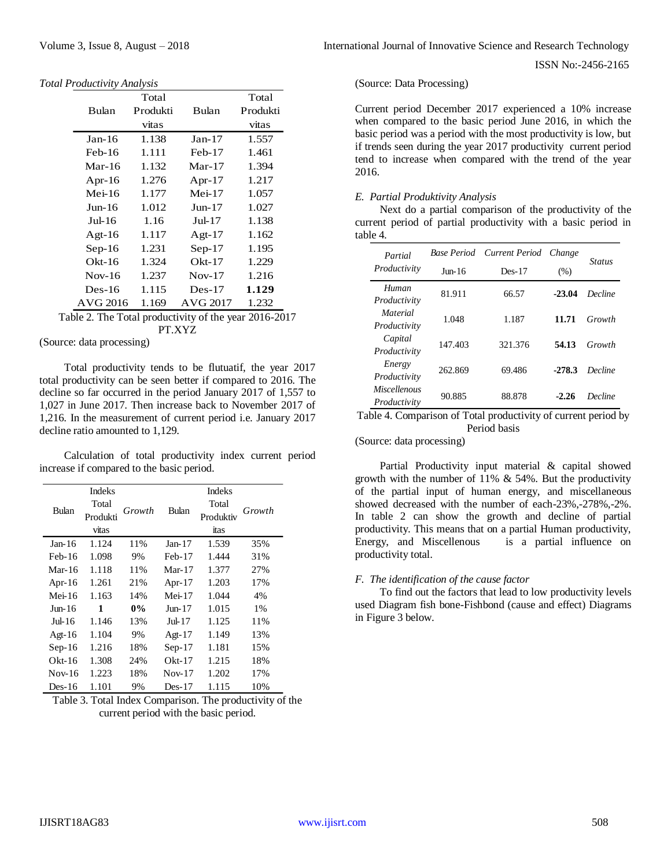|                                                          | Total    |           | Total    |
|----------------------------------------------------------|----------|-----------|----------|
| Bulan                                                    | Produkti | Bulan     | Produkti |
|                                                          | vitas    |           | vitas    |
| $Jan-16$                                                 | 1.138    | $Jan-17$  | 1.557    |
| $Feb-16$                                                 | 1.111    | $Feb-17$  | 1.461    |
| Mar-16                                                   | 1.132    | Mar-17    | 1.394    |
| Apr-16                                                   | 1.276    | Apr- $17$ | 1.217    |
| $Mei-16$                                                 | 1.177    | $Mei-17$  | 1.057    |
| $Jun-16$                                                 | 1.012    | $Jun-17$  | 1.027    |
| $Jul-16$                                                 | 1.16     | Jul-17    | 1.138    |
| Agt-16                                                   | 1.117    | Agt- $17$ | 1.162    |
| $Sep-16$                                                 | 1.231    | $Sep-17$  | 1.195    |
| $Okt-16$                                                 | 1.324    | $Okt-17$  | 1.229    |
| $Nov-16$                                                 | 1.237    | $Nov-17$  | 1.216    |
| $Des-16$                                                 | 1.115    | $Des-17$  | 1.129    |
| AVG 2016                                                 | 1.169    | AVG 2017  | 1.232    |
| $Table 2$ The Total productivity of the year $2016, 201$ |          |           |          |

Table 2. The Total productivity of the year 2016-2017 PT.XYZ

(Source: data processing)

Total productivity tends to be flutuatif, the year 2017 total productivity can be seen better if compared to 2016. The decline so far occurred in the period January 2017 of 1,557 to 1,027 in June 2017. Then increase back to November 2017 of 1,216. In the measurement of current period i.e. January 2017 decline ratio amounted to 1,129.

Calculation of total productivity index current period increase if compared to the basic period.

|           | <b>Indeks</b> |        |           | <b>Indeks</b> |        |  |  |  |
|-----------|---------------|--------|-----------|---------------|--------|--|--|--|
| Bulan     | Total         | Growth | Bulan     | Total         | Growth |  |  |  |
|           | Produkti      |        |           | Produktiv     |        |  |  |  |
|           | vitas         |        |           | itas          |        |  |  |  |
| Jan-16    | 1.124         | 11%    | Jan-17    | 1.539         | 35%    |  |  |  |
| Feb-16    | 1.098         | 9%     | $Feb-17$  | 1.444         | 31%    |  |  |  |
| Mar-16    | 1.118         | 11%    | $Mar-17$  | 1.377         | 27%    |  |  |  |
| Apr- $16$ | 1.261         | 21%    | Apr- $17$ | 1.203         | 17%    |  |  |  |
| Mei-16    | 1.163         | 14%    | Mei-17    | 1.044         | 4%     |  |  |  |
| Jun-16    | 1             | $0\%$  | Jun-17    | 1.015         | 1%     |  |  |  |
| $Jul-16$  | 1.146         | 13%    | Jul-17    | 1.125         | 11%    |  |  |  |
| Agt- $16$ | 1.104         | 9%     | Agt- $17$ | 1.149         | 13%    |  |  |  |
| $Sep-16$  | 1.216         | 18%    | $Sep-17$  | 1.181         | 15%    |  |  |  |
| $Okt-16$  | 1.308         | 24%    | $Okt-17$  | 1.215         | 18%    |  |  |  |
| $Nov-16$  | 1.223         | 18%    | $Nov-17$  | 1.202         | 17%    |  |  |  |
| Des-16    | 1.101         | 9%     | Des-17    | 1.115         | 10%    |  |  |  |

Table 3. Total Index Comparison. The productivity of the current period with the basic period.

#### (Source: Data Processing)

Current period December 2017 experienced a 10% increase when compared to the basic period June 2016, in which the basic period was a period with the most productivity is low, but if trends seen during the year 2017 productivity current period tend to increase when compared with the trend of the year 2016.

#### *E. Partial Produktivity Analysis*

Next do a partial comparison of the productivity of the current period of partial productivity with a basic period in table 4.

| Partial                             | Base Period     | Current Period | Change   | <b>Status</b> |  |
|-------------------------------------|-----------------|----------------|----------|---------------|--|
| Productivity                        | $\text{Inn-16}$ | $Des-17$       | (% )     |               |  |
| Human<br>Productivity               | 81.911          | 66.57          | $-23.04$ | Decline       |  |
| <i>Material</i><br>Productivity     | 1.048           | 1.187          | 11.71    | Growth        |  |
| Capital<br>Productivity             | 147.403         | 321.376        | 54.13    | Growth        |  |
| Energy<br>Productivity              | 262.869         | 69.486         | $-278.3$ | Decline       |  |
| <i>Miscellenous</i><br>Productivity | 90.885          | 88.878         | $-2.26$  | Decline       |  |

Table 4. Comparison of Total productivity of current period by Period basis

(Source: data processing)

Partial Productivity input material & capital showed growth with the number of  $11\%$  & 54%. But the productivity of the partial input of human energy, and miscellaneous showed decreased with the number of each-23%,-278%,-2%. In table 2 can show the growth and decline of partial productivity. This means that on a partial Human productivity, Energy, and Miscellenous is a partial influence on productivity total.

# *F. The identification of the cause factor*

To find out the factors that lead to low productivity levels used Diagram fish bone-Fishbond (cause and effect) Diagrams in Figure 3 below.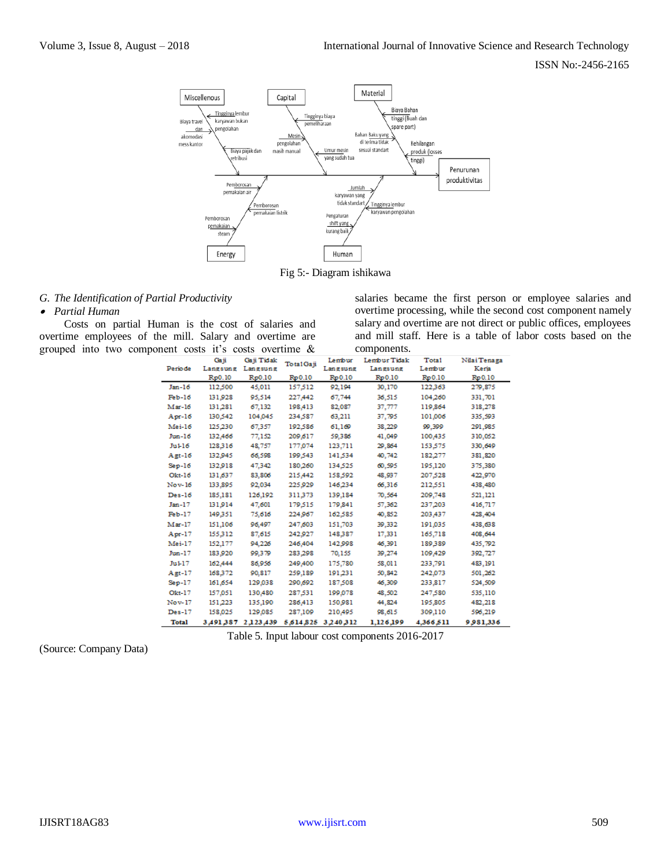

Fig 5:- Diagram ishikawa

#### *G. The Identification of Partial Productivity*

*Partial Human* 

Costs on partial Human is the cost of salaries and overtime employees of the mill. Salary and overtime are grouped into two component costs it's costs overtime &

salaries became the first person or employee salaries and overtime processing, while the second cost component namely salary and overtime are not direct or public offices, employees and mill staff. Here is a table of labor costs based on the components.

|              | Gaji      | Gaji Tidak    | Total Gaji | Lembur   | Lembur Tidak | Tota1     | Nilai Tenaga |
|--------------|-----------|---------------|------------|----------|--------------|-----------|--------------|
| Periode      | Langsung  | Langsung      |            | Langsung | Langsung     | Lembur    | Keria        |
|              | Rp0.10    | Rp0.10        | Rp0.10     | Rp0.10   | Rp0.10       | Rp0.10    | Rp 0.10      |
| Jan-16       | 112,500   | 45,011        | 157,512    | 92,194   | 30,170       | 122,363   | 279,875      |
| $Feb-16$     | 131,928   | 95,514        | 227,442    | 67,744   | 36,515       | 104,260   | 331,701      |
| $Max-16$     | 131,281   | 67.132        | 198,413    | 82,087   | 37,777       | 119,864   | 318,278      |
| $Apr-16$     | 130,542   | 104,045       | 234,587    | 63,211   | 37,795       | 101,006   | 335,593      |
| Mei-16       | 125,230   | 67.357        | 192.586    | 61.169   | 38,229       | 99.399    | 291,985      |
| $Jun-16$     | 132,466   | 77,152        | 209,617    | 59,386   | 41,049       | 100,435   | 310,052      |
| $Ju1-16$     | 128,316   | 48,757        | 177,074    | 123,711  | 29,864       | 153,575   | 330,649      |
| $Agt-16$     | 132,945   | 66,598        | 199,543    | 141,534  | 40,742       | 182,277   | 381,820      |
| $Sep-16$     | 132,918   | 47,342        | 180,260    | 134,525  | 60,595       | 195,120   | 375,380      |
| $Okt-16$     | 131,637   | 83.806        | 215,442    | 158,592  | 48,937       | 207.528   | 422,970      |
| Nov-16       | 133,895   | 92,034        | 225,929    | 146,234  | 66,316       | 212,551   | 438,480      |
| $Des-16$     | 185,181   | 126,192       | 311,373    | 139,184  | 70,564       | 209,748   | 521,121      |
| Jan-17       | 131,914   | 47,601        | 179,515    | 179,841  | 57,362       | 237,203   | 416,717      |
| $Feb-17$     | 149,351   | 75,616        | 224,967    | 162,585  | 40,852       | 203,437   | 428,404      |
| Mar-17       | 151,106   | 96,497        | 247.603    | 151,703  | 39,332       | 191,035   | 438,638      |
| $Apr-17$     | 155,312   | 87,615        | 242,927    | 148,387  | 17.331       | 165,718   | 408.644      |
| Mei-17       | 152,177   | 94,226        | 246,404    | 142,998  | 46,391       | 189,389   | 435,792      |
| Jun-17       | 183,920   | 99,379        | 283,298    | 70,155   | 39,274       | 109,429   | 392,727      |
| Ju1-17       | 162,444   | 86.956        | 249,400    | 175,780  | 58,011       | 233.791   | 483,191      |
| $Agt-17$     | 168,372   | 90,817        | 259,189    | 191,231  | 50,842       | 242,073   | 501,262      |
| $Sep-17$     | 161,654   | 129,038       | 290,692    | 187,508  | 46,309       | 233,817   | 524,509      |
| Okt-17       | 157,051   | 130,480       | 287,531    | 199,078  | 48,502       | 247,580   | 535,110      |
| Nov-17       | 151,223   | 135,190       | 286,413    | 150,981  | 44,824       | 195,805   | 482,218      |
| $Des-17$     | 158,025   | 129,085       | 287,109    | 210,495  | 98,615       | 309,110   | 596,219      |
| <b>Total</b> | 3,491,387 | 2 1 2 3 4 3 9 | 5,614,825  | 3240312  | 1,126,199    | 4,366,511 | 9981,336     |

Table 5. Input labour cost components 2016-2017

(Source: Company Data)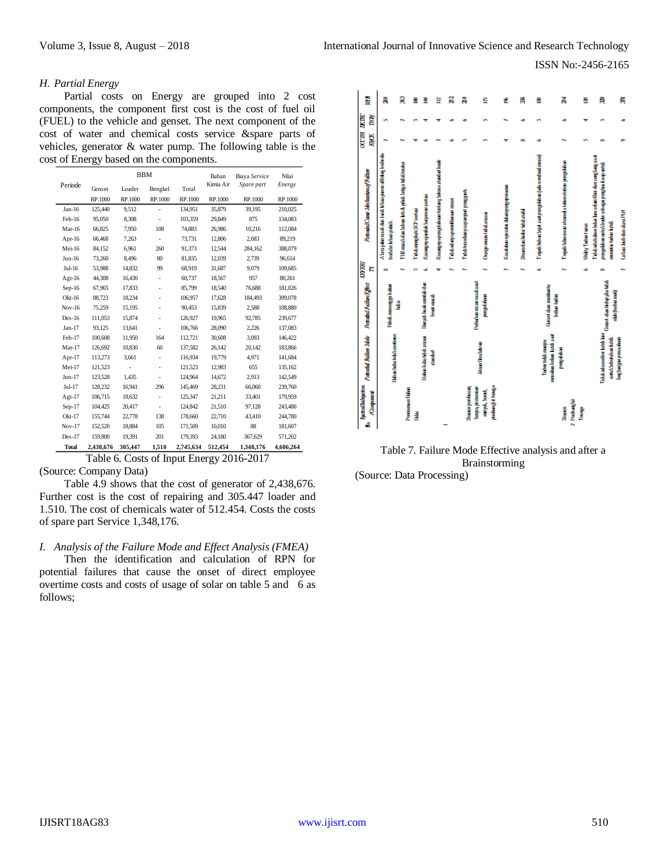# *H. Partial Energy*

Partial costs on Energy are grouped into 2 cost components, the component first cost is the cost of fuel oil (FUEL) to the vehicle and genset. The next component of the cost of water and chemical costs service &spare parts of vehicles, generator & water pump. The following table is the cost of Energy based on the components.

|              |           | <b>BBM</b> |         | Bahan     | Biaya Service | Nilai      |           |
|--------------|-----------|------------|---------|-----------|---------------|------------|-----------|
| Periode      | Genset    | Loader     | Bengkel | Total     | Kimia Air     | Spare part | Energy    |
|              | RP.1000   | RP.1000    | RP.1000 | RP.1000   | RP.1000       | RP.1000    | RP.1000   |
| $Jan-16$     | 125,440   | 9,512      | ÷,      | 134,951   | 35,879        | 39,195     | 210,025   |
| Feb-16       | 95,050    | 8.308      | ÷       | 103.359   | 29.849        | 875        | 134,083   |
| Mar-16       | 66,825    | 7,950      | 108     | 74,883    | 26,986        | 10,216     | 112,084   |
| Apr-16       | 66,468    | 7,263      | ÷       | 73,731    | 12,806        | 2,683      | 89,219    |
| Mei-16       | 84,152    | 6.961      | 260     | 91,373    | 12,544        | 284,162    | 388,079   |
| $Jun-16$     | 73,260    | 8,496      | 80      | 81,835    | 12,039        | 2,739      | 96,614    |
| Jul-16       | 53,988    | 14,832     | 99      | 68.919    | 31,687        | 9,079      | 109,685   |
| $Agt-16$     | 44,308    | 16,430     | ÷       | 60,737    | 18,567        | 957        | 80,261    |
| $Sep-16$     | 67,965    | 17,833     |         | 85,799    | 18,540        | 76,688     | 181,026   |
| $Okt-16$     | 88,723    | 18.234     | ä,      | 106,957   | 17,628        | 184,493    | 309,078   |
| $Nov-16$     | 75,259    | 15,195     | ä,      | 90,453    | 15,839        | 2,588      | 108,880   |
| $Des-16$     | 111,053   | 15,874     |         | 126,927   | 19,965        | 92,785     | 239,677   |
| $Jan-17$     | 93.125    | 13.641     | ÷       | 106.766   | 28,090        | 2,226      | 137,083   |
| Feb-17       | 100,608   | 11,950     | 164     | 112,721   | 30,608        | 3,093      | 146,422   |
| $Mar-17$     | 126,692   | 10.830     | 60      | 137.582   | 26,142        | 20,142     | 183,866   |
| Apr-17       | 113,273   | 3,661      | ÷       | 116,934   | 19,779        | 4,971      | 141,684   |
| Mei-17       | 121,523   | ÷          | ä,      | 121,523   | 12,983        | 655        | 135,162   |
| $Jun-17$     | 123,528   | 1.435      |         | 124,964   | 14,672        | 2,913      | 142,549   |
| Jul-17       | 128,232   | 16,941     | 296     | 145,469   | 28,231        | 66,060     | 239,760   |
| Agt- $17$    | 106,715   | 18,632     | ÷       | 125,347   | 21,211        | 33,401     | 179,959   |
| $Sep-17$     | 104,425   | 20,417     | ÷       | 124,842   | 21,510        | 97,128     | 243,480   |
| $Okt-17$     | 155,744   | 22,778     | 138     | 178,660   | 22,710        | 43,410     | 244,780   |
| Nov-17       | 152,520   | 18,884     | 105     | 171,509   | 10.010        | 88         | 181,607   |
| $Des-17$     | 159,800   | 19.391     | 201     | 179.393   | 24,180        | 367,629    | 571,202   |
| <b>Total</b> | 2,438,676 | 305,447    | 1,510   | 2,745,634 | 512,454       | 1,348,176  | 4,606,264 |

# Table 6. Costs of Input Energy 2016-2017

(Source: Company Data)

Table 4.9 shows that the cost of generator of 2,438,676. Further cost is the cost of repairing and 305.447 loader and 1.510. The cost of chemicals water of 512.454. Costs the costs of spare part Service 1,348,176.

# *I. Analysis of the Failure Mode and Effect Analysis (FMEA)*

Then the identification and calculation of RPN for potential failures that cause the onset of direct employee overtime costs and costs of usage of solar on table 5 and 6 as follows;



Table 7. Failure Mode Effective analysis and after a Brainstorming (Source: Data Processing)

IJISRT18AG83 [www.ijisrt.com](http://www.ijisrt.com/) 510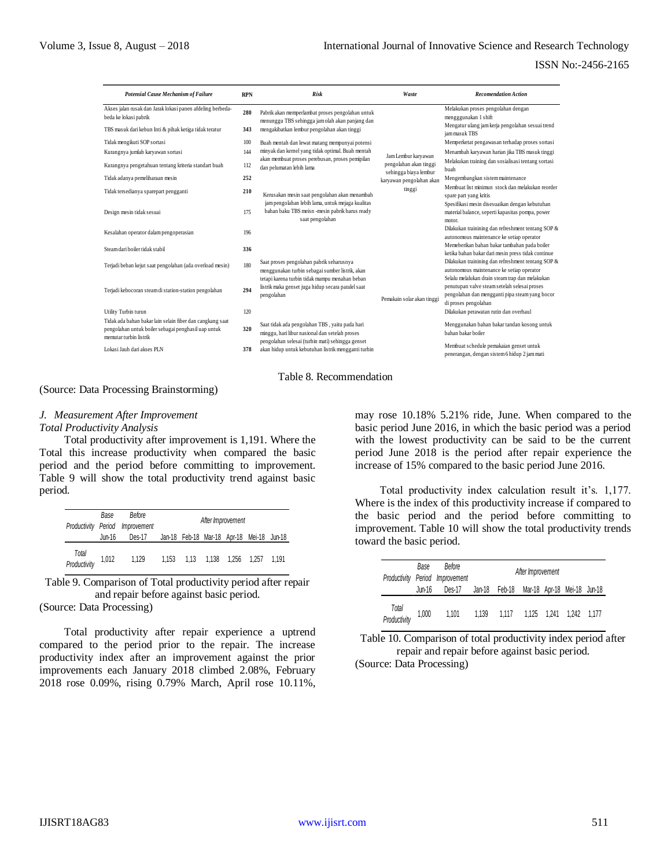| Potensial Cause Mechanism of Failure                                                                                                       | <b>RPN</b> | <b>Risk</b>                                                                                                                                          | Waste                                           | <b>Recomendation Action</b>                                                                                                                        |
|--------------------------------------------------------------------------------------------------------------------------------------------|------------|------------------------------------------------------------------------------------------------------------------------------------------------------|-------------------------------------------------|----------------------------------------------------------------------------------------------------------------------------------------------------|
| Akses jalan rusak dan Jarak lokasi panen afdeling berbeda-<br>beda ke lokasi pabrik                                                        | 280        | Pabrik akan memperlambat proses pengolahan untuk<br>menunggu TBS sehingga jamolah akan panjang dan                                                   |                                                 | Melakukan proses pengolahan dengan<br>mengggunakan 1 shift                                                                                         |
| TBS masuk dari kebun Inti & pihak ketiga tidak teratur                                                                                     | 343        | mengakibatkan lembur pengolahan akan tinggi                                                                                                          |                                                 | Mengatur ulang jam kerja pengolahan sesuai trend<br>jam masuk TBS                                                                                  |
| Tidak mengikuti SOP sortasi                                                                                                                | 100        | Buah mentah dan lewat matang mempunyai potensi                                                                                                       |                                                 | Memperketat pengawasan terhadap proses sortasi                                                                                                     |
| Kurangnya jumlah karyawan sortasi                                                                                                          | 144        | minyak dan kemel yang tidak optimal. Buah mentah                                                                                                     | Jam Lembur karyawan                             | Menambah karyawan harian jika TBS masuk tinggi                                                                                                     |
| Kurangnya pengetahuan tentang kriteria standart buah                                                                                       | 112        | akan membuat proses perebusan, proses pemipilan<br>dan pelumatan lebih lama                                                                          | pengolahan akan tinggi<br>sehingga biaya lembur | Melakukan training dan sosialisasi tentang sortasi<br>buah                                                                                         |
| Tidak adanya pemeliharaan mesin                                                                                                            | 252        |                                                                                                                                                      | karyawan pengolahan akan                        | Mengembangkan sistem maintenance                                                                                                                   |
| Tidak tersedianya sparepart pengganti                                                                                                      | 210        | Kerusakan mesin saat pengolahan akan menambah                                                                                                        | tinggi                                          | Membuat list minimun stock dan melakukan reorder<br>spare part yang kritis                                                                         |
| Design mesin tidak sesuai                                                                                                                  | 175        | jam pengolahan lebih lama, untuk mejaga kualitas<br>bahan baku TBS meisn -mesin pabrik harus ready<br>saat pengolahan                                |                                                 | Spesifikasi mesin disesuaikan dengan kebutuhan<br>material balance, seperti kapasitas pompa, power<br>motor.                                       |
| Kesalahan operator dalam pengoperasian                                                                                                     | 196        |                                                                                                                                                      |                                                 | Dilakukan trainining dan refreshment tentang SOP &<br>autonomous maintenance ke setiap operator                                                    |
| Steam dari boiler tidak stabil                                                                                                             | 336        |                                                                                                                                                      |                                                 | Memeberikan bahan bakar tambahan pada boiler<br>ketika bahan bakar dari mesin press tidak continue                                                 |
| Terjadi beban kejut saat pengolahan (ada overload mesin)                                                                                   | 180        | Saat proses pengolahan pabrik seharusnya<br>menggunakan turbin sebagai sumber listrik, akan<br>tetapi karena turbin tidak mampu menahan beban        |                                                 | Dilakukan trainining dan refreshment tentang SOP &<br>autonomous maintenance ke setiap operator<br>Selalu melalukan drain steam trap dan melakukan |
| Terjadi kebocoran steam di station-station pengolahan                                                                                      | 294        | listrik maka genset juga hidup secara paralel saat<br>pengolahan                                                                                     | Pemakain solar akan tinggi                      | penutupan valve steam setelah selesai proses<br>pengolahan dan mengganti pipa steam yang bocor<br>di proses pengolahan                             |
| Utility Turbin turun                                                                                                                       | 120        |                                                                                                                                                      |                                                 | Dilakukan perawatan rutin dan overhaul                                                                                                             |
| Tidak ada bahan bakar lain selain fiber dan cangkang saat<br>pengolahan untuk boiler sebagai penghasil uap untuk<br>memutar turbin listrik | 320        | Saat tidak ada pengolahan TBS, yaitu pada hari<br>minggu, hari libur nasional dan setelah proses<br>pengolahan selesai (turbin mati) sehingga genset |                                                 | Menggunakan bahan bakar tandan kosong untuk<br>bahan bakar boiler                                                                                  |
| Lokasi Jauh dari akses PLN                                                                                                                 | 378        | akan hidup untuk kebutuhan listrik mengganti turbin                                                                                                  |                                                 | Membuat schedule pemakaian genset untuk<br>penerangan, dengan sistem 6 hidup 2 jam mati                                                            |

# Table 8. Recommendation

#### (Source: Data Processing Brainstorming)

# *J. Measurement After Improvement*

#### *Total Productivity Analysis*

Total productivity after improvement is 1,191. Where the Total this increase productivity when compared the basic period and the period before committing to improvement. Table 9 will show the total productivity trend against basic period.

|                       | Base   | Before<br>Productivity Period Improvement |       | After Improvement         |                                           |       |
|-----------------------|--------|-------------------------------------------|-------|---------------------------|-------------------------------------------|-------|
|                       | Jun-16 | Des-17                                    |       |                           | Jan-18 Feb-18 Mar-18 Apr-18 Mei-18 Jun-18 |       |
| Total<br>Productivity | 1,012  | 1,129                                     | 1.153 | 1.13  1.138  1.256  1.257 |                                           | 1.191 |

Table 9. Comparison of Total productivity period after repair and repair before against basic period.

(Source: Data Processing)

Total productivity after repair experience a uptrend compared to the period prior to the repair. The increase productivity index after an improvement against the prior improvements each January 2018 climbed 2.08%, February 2018 rose 0.09%, rising 0.79% March, April rose 10.11%, may rose 10.18% 5.21% ride, June. When compared to the basic period June 2016, in which the basic period was a period with the lowest productivity can be said to be the current period June 2018 is the period after repair experience the increase of 15% compared to the basic period June 2016.

Total productivity index calculation result it's. 1,177. Where is the index of this productivity increase if compared to the basic period and the period before committing to improvement. Table 10 will show the total productivity trends toward the basic period.

|                       | Base   | Before<br>Productivity Period Improvement |       |                                           | After Improvement |             |  |
|-----------------------|--------|-------------------------------------------|-------|-------------------------------------------|-------------------|-------------|--|
|                       | Jun-16 | Des-17                                    |       | Jan-18 Feb-18 Mar-18 Apr-18 Mei-18 Jun-18 |                   |             |  |
| Total<br>Productivity | 1,000  | 1.101                                     | 1.139 | 1.117                                     | 1.125 1.241       | 1.242 1.177 |  |

Table 10. Comparison of total productivity index period after repair and repair before against basic period.

(Source: Data Processing)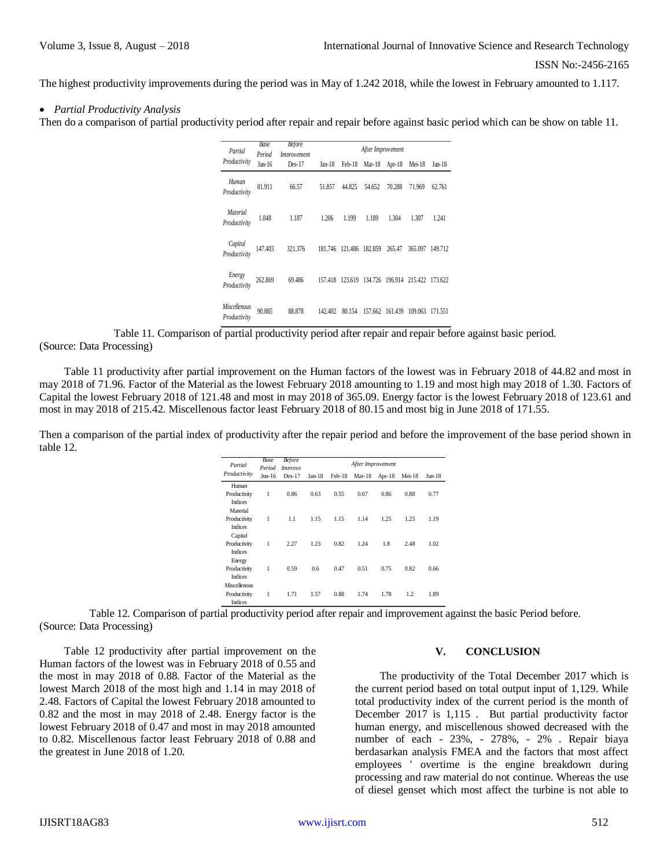The highest productivity improvements during the period was in May of 1.242 2018, while the lowest in February amounted to 1.117.

# *Partial Productivity Analysis*

Then do a comparison of partial productivity period after repair and repair before against basic period which can be show on table 11.

|                         | Base             | Before                                                                                         |                  |        |                             | After Improvement    |                                                 |                                                                                                                               |
|-------------------------|------------------|------------------------------------------------------------------------------------------------|------------------|--------|-----------------------------|----------------------|-------------------------------------------------|-------------------------------------------------------------------------------------------------------------------------------|
| Partial<br>Productivity | Period           | <i>Improvement</i>                                                                             |                  |        |                             |                      |                                                 |                                                                                                                               |
|                         | $Jun-16$         | $Des-17$                                                                                       | Jan-18           |        |                             | Feb-18 Mar-18 Apr-18 | Mei-18                                          | Jun-18                                                                                                                        |
| Human                   | 81.911           | 66.57                                                                                          | 51.857           | 44.825 | 54.652                      | 70.288               | 71.969                                          | 62.761                                                                                                                        |
| Productivity            |                  |                                                                                                |                  |        |                             |                      |                                                 |                                                                                                                               |
| <b>Material</b>         | 1.048            |                                                                                                |                  |        |                             | 1.304                | 1.307                                           |                                                                                                                               |
| Productivity            |                  | 1.187                                                                                          | 1.206            | 1.199  | 1.189                       |                      |                                                 | 1.241                                                                                                                         |
| Capital                 |                  |                                                                                                |                  |        |                             |                      |                                                 |                                                                                                                               |
| Productivity            | 147.403          | 321.376                                                                                        |                  |        |                             |                      | 181.746 121.486 182.859 265.47 365.097 149.712  |                                                                                                                               |
|                         |                  |                                                                                                |                  |        |                             |                      |                                                 |                                                                                                                               |
| Energy                  | 262.869          | 69.486                                                                                         |                  |        |                             |                      | 157.418 123.619 134.726 196.914 215.422 173.622 |                                                                                                                               |
| Productivity            |                  |                                                                                                |                  |        |                             |                      |                                                 |                                                                                                                               |
| <i>Miscellenous</i>     |                  |                                                                                                |                  |        |                             |                      |                                                 |                                                                                                                               |
| Productivity            | 90.885           | 88.878                                                                                         |                  |        |                             |                      | 142.402 80.154 157.662 161.439 109.063 171.551  |                                                                                                                               |
|                         |                  | f partial productivity period after repair and repair before against basic period.             |                  |        |                             |                      |                                                 |                                                                                                                               |
|                         |                  | improvement on the Human factors of the lowest was in February 2018 of 44.82 and most in       |                  |        |                             |                      |                                                 |                                                                                                                               |
|                         |                  | al as the lowest February 2018 amounting to 1.19 and most high may 2018 of 1.30. Factors of    |                  |        |                             |                      |                                                 |                                                                                                                               |
|                         |                  | 48 and most in may 2018 of 365.09. Energy factor is the lowest February 2018 of 123.61 and     |                  |        |                             |                      |                                                 |                                                                                                                               |
|                         |                  | us factor least February 2018 of 80.15 and most big in June 2018 of 171.55.                    |                  |        |                             |                      |                                                 |                                                                                                                               |
|                         |                  |                                                                                                |                  |        |                             |                      |                                                 |                                                                                                                               |
|                         |                  | of productivity after the repair period and before the improvement of the base period shown in |                  |        |                             |                      |                                                 |                                                                                                                               |
|                         |                  |                                                                                                |                  |        |                             |                      |                                                 |                                                                                                                               |
|                         | <b>Base</b>      | <b>Before</b>                                                                                  |                  |        |                             |                      |                                                 |                                                                                                                               |
| Partial<br>Productivity | Period<br>Jun-16 | Improve<br>Des-17                                                                              | Jan-18<br>Feb-18 |        | After Improvement<br>Mar-18 | Apr-18               | $Mei-18$                                        | Jun-18                                                                                                                        |
| Human                   |                  |                                                                                                |                  |        |                             |                      |                                                 |                                                                                                                               |
| Productivity            | 1                | 0.86                                                                                           | 0.63             | 0.55   | 0.67                        | 0.86                 | 0.88                                            | 0.77                                                                                                                          |
| Indices<br>Material     |                  |                                                                                                |                  |        |                             |                      |                                                 |                                                                                                                               |
| Productivity<br>Indices | 1                | 1.1                                                                                            | 1.15             | 1.15   | 1.14                        | 1.25                 | 1.25                                            | 1.19                                                                                                                          |
| Capital                 |                  |                                                                                                |                  |        |                             |                      |                                                 |                                                                                                                               |
| Productivity<br>Indices | 1                | 2.27                                                                                           | 1.23             | 0.82   | 1.24                        | 1.8                  | 2.48                                            | 1.02                                                                                                                          |
| Energy                  |                  |                                                                                                |                  |        |                             |                      |                                                 |                                                                                                                               |
| Productivity<br>Indices | 1                | 0.59                                                                                           | 0.6<br>0.47      |        | 0.51                        | 0.75                 | 0.82                                            | 0.66                                                                                                                          |
| Miscellenous            |                  |                                                                                                |                  |        |                             |                      |                                                 |                                                                                                                               |
| Productivity<br>Indices | 1                | 1.71                                                                                           | 1.57<br>0.88     |        | 1.74                        | 1.78                 | 1.2                                             | 1.89                                                                                                                          |
|                         |                  | ial productivity period after repair and improvement against the basic Period before.          |                  |        |                             |                      |                                                 |                                                                                                                               |
|                         |                  |                                                                                                |                  |        |                             |                      |                                                 |                                                                                                                               |
|                         |                  |                                                                                                |                  |        |                             |                      |                                                 |                                                                                                                               |
|                         |                  | improvement on the                                                                             |                  |        |                             |                      |                                                 | V.                                                                                                                            |
|                         |                  | uary 2018 of 0.55 and                                                                          |                  |        |                             |                      |                                                 |                                                                                                                               |
|                         |                  | of the Material as the                                                                         |                  |        |                             |                      |                                                 | The productivity of the Total December 2017 which is                                                                          |
|                         |                  | 1 1.14 in may 2018 of                                                                          |                  |        |                             |                      |                                                 | the current period based on total output input of 1,129. While                                                                |
|                         |                  | ary 2018 amounted to                                                                           |                  |        |                             |                      |                                                 | total productivity index of the current period is the month of                                                                |
|                         |                  | . Energy factor is the                                                                         |                  |        |                             |                      |                                                 | December 2017 is 1,115. But partial productivity factor                                                                       |
|                         |                  | n may 2018 amounted                                                                            |                  |        |                             |                      |                                                 | human energy, and miscellenous showed decreased with the                                                                      |
|                         |                  | ary 2018 of 0.88 and                                                                           |                  |        |                             |                      |                                                 | number of each - 23%, - 278%, - 2%. Repair biaya                                                                              |
|                         |                  |                                                                                                |                  |        |                             |                      |                                                 | berdasarkan analysis FMEA and the factors that most affect                                                                    |
|                         |                  |                                                                                                |                  |        |                             |                      |                                                 |                                                                                                                               |
|                         |                  |                                                                                                |                  |        |                             |                      |                                                 | employees ' overtime is the engine breakdown during                                                                           |
|                         |                  |                                                                                                |                  |        |                             |                      |                                                 | processing and raw material do not continue. Whereas the use<br>of diesel genset which most affect the turbine is not able to |

Table 11. Comparison of partial productivity period after repair and repair before against basic period. (Source: Data Processing)

Table 11 productivity after partial improvement on the Human factors of the lowest was in February 2018 of 44.82 and most in may 2018 of 71.96. Factor of the Material as the lowest February 2018 amounting to 1.19 and most high may 2018 of 1.30. Factors of Capital the lowest February 2018 of 121.48 and most in may 2018 of 365.09. Energy factor is the lowest February 2018 of 123.61 and most in may 2018 of 215.42. Miscellenous factor least February 2018 of 80.15 and most big in June 2018 of 171.55.

Then a comparison of the partial index of productivity after the repair period and before the improvement of the base period shown in table 12.

| Partial        | Base<br>Period | <b>Before</b><br><i>Improve</i> |        | After Improvement |          |           |        |        |  |
|----------------|----------------|---------------------------------|--------|-------------------|----------|-----------|--------|--------|--|
| Productivity   | $Jun-16$       | $Des-17$                        | Jan-18 | Feb-18            | $Mar-18$ | Apr- $18$ | Mei-18 | Jun-18 |  |
| Human          |                |                                 |        |                   |          |           |        |        |  |
| Productivity   | 1              | 0.86                            | 0.63   | 0.55              | 0.67     | 0.86      | 0.88   | 0.77   |  |
| Indices        |                |                                 |        |                   |          |           |        |        |  |
| Material       |                |                                 |        |                   |          |           |        |        |  |
| Productivity   | 1              | 1.1                             | 1.15   | 1.15              | 1.14     | 1.25      | 1.25   | 1.19   |  |
| <b>Indices</b> |                |                                 |        |                   |          |           |        |        |  |
| Capital        |                |                                 |        |                   |          |           |        |        |  |
| Productivity   | 1              | 2.27                            | 1.23   | 0.82              | 1.24     | 1.8       | 2.48   | 1.02   |  |
| <b>Indices</b> |                |                                 |        |                   |          |           |        |        |  |
| Energy         |                |                                 |        |                   |          |           |        |        |  |
| Productivity   | 1              | 0.59                            | 0.6    | 0.47              | 0.51     | 0.75      | 0.82   | 0.66   |  |
| <b>Indices</b> |                |                                 |        |                   |          |           |        |        |  |
| Miscellenous   |                |                                 |        |                   |          |           |        |        |  |
| Productivity   | 1              | 1.71                            | 1.57   | 0.88              | 1.74     | 1.78      | 1.2    | 1.89   |  |
| Indices        |                |                                 |        |                   |          |           |        |        |  |

Table 12. Comparison of partial productivity period after repair and improvement against the basic Period before. (Source: Data Processing)

Table 12 productivity after partial improvement on the Human factors of the lowest was in February 2018 of 0.55 and the most in may 2018 of 0.88. Factor of the Material as the lowest March 2018 of the most high and 1.14 in may 2018 of 2.48. Factors of Capital the lowest February 2018 amounted to 0.82 and the most in may 2018 of 2.48. Energy factor is the lowest February 2018 of 0.47 and most in may 2018 amounted to 0.82. Miscellenous factor least February 2018 of 0.88 and the greatest in June 2018 of 1.20.

# **V. CONCLUSION**